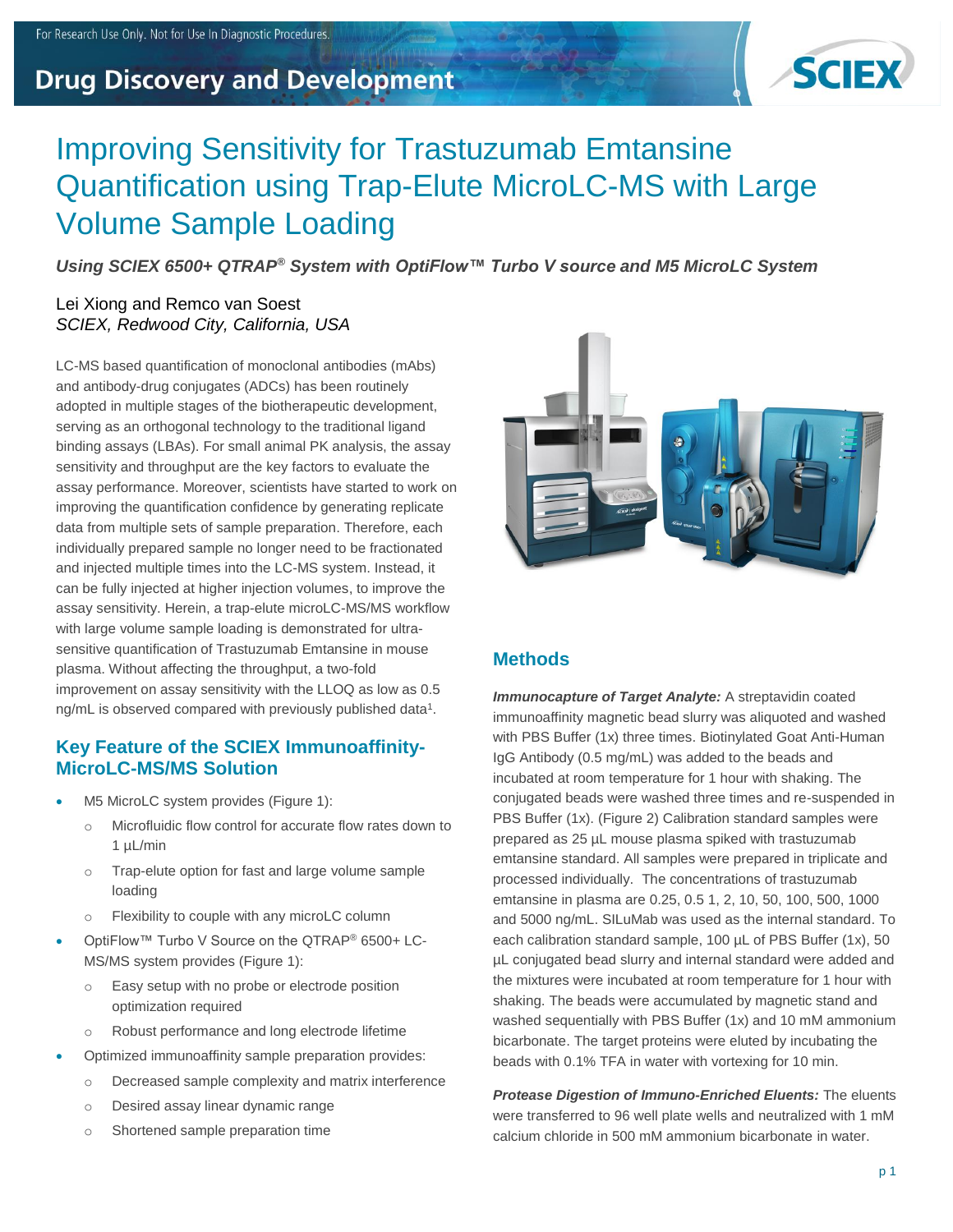## **Drug Discovery and Development**



# Improving Sensitivity for Trastuzumab Emtansine Quantification using Trap-Elute MicroLC-MS with Large Volume Sample Loading

*Using SCIEX 6500+ QTRAP® System with OptiFlow™ Turbo V source and M5 MicroLC System*

#### Lei Xiong and Remco van Soest *SCIEX, Redwood City, California, USA*

LC-MS based quantification of monoclonal antibodies (mAbs) and antibody-drug conjugates (ADCs) has been routinely adopted in multiple stages of the biotherapeutic development, serving as an orthogonal technology to the traditional ligand binding assays (LBAs). For small animal PK analysis, the assay sensitivity and throughput are the key factors to evaluate the assay performance. Moreover, scientists have started to work on improving the quantification confidence by generating replicate data from multiple sets of sample preparation. Therefore, each individually prepared sample no longer need to be fractionated and injected multiple times into the LC-MS system. Instead, it can be fully injected at higher injection volumes, to improve the assay sensitivity. Herein, a trap-elute microLC-MS/MS workflow with large volume sample loading is demonstrated for ultrasensitive quantification of Trastuzumab Emtansine in mouse plasma. Without affecting the throughput, a two-fold improvement on assay sensitivity with the LLOQ as low as 0.5 ng/mL is observed compared with previously published data<sup>1</sup>.

#### **Key Feature of the SCIEX Immunoaffinity-MicroLC-MS/MS Solution**

- M5 MicroLC system provides (Figure 1):
	- o Microfluidic flow control for accurate flow rates down to 1 µL/min
	- o Trap-elute option for fast and large volume sample loading
	- o Flexibility to couple with any microLC column
- OptiFlow™ Turbo V Source on the QTRAP® 6500+ LC-MS/MS system provides (Figure 1):
	- o Easy setup with no probe or electrode position optimization required
	- o Robust performance and long electrode lifetime
- Optimized immunoaffinity sample preparation provides:
	- o Decreased sample complexity and matrix interference
	- o Desired assay linear dynamic range
	- o Shortened sample preparation time



### **Methods**

*Immunocapture of Target Analyte:* A streptavidin coated immunoaffinity magnetic bead slurry was aliquoted and washed with PBS Buffer (1x) three times. Biotinylated Goat Anti-Human IgG Antibody (0.5 mg/mL) was added to the beads and incubated at room temperature for 1 hour with shaking. The conjugated beads were washed three times and re-suspended in PBS Buffer (1x). (Figure 2) Calibration standard samples were prepared as 25 µL mouse plasma spiked with trastuzumab emtansine standard. All samples were prepared in triplicate and processed individually. The concentrations of trastuzumab emtansine in plasma are 0.25, 0.5 1, 2, 10, 50, 100, 500, 1000 and 5000 ng/mL. SILuMab was used as the internal standard. To each calibration standard sample, 100 µL of PBS Buffer (1x), 50 µL conjugated bead slurry and internal standard were added and the mixtures were incubated at room temperature for 1 hour with shaking. The beads were accumulated by magnetic stand and washed sequentially with PBS Buffer (1x) and 10 mM ammonium bicarbonate. The target proteins were eluted by incubating the beads with 0.1% TFA in water with vortexing for 10 min.

*Protease Digestion of Immuno-Enriched Eluents:* The eluents were transferred to 96 well plate wells and neutralized with 1 mM calcium chloride in 500 mM ammonium bicarbonate in water.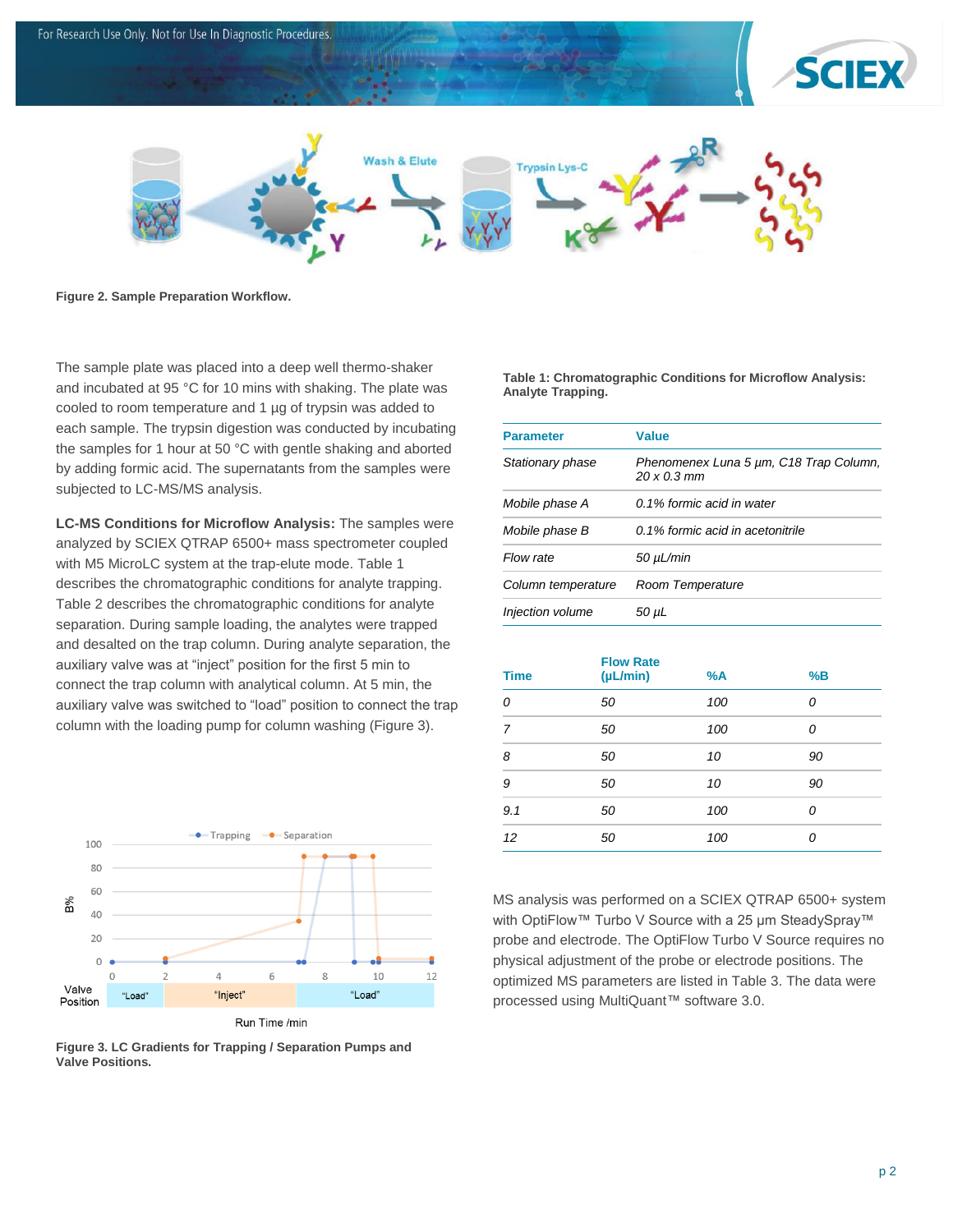

**Figure 2. Sample Preparation Workflow.**

The sample plate was placed into a deep well thermo-shaker and incubated at 95 °C for 10 mins with shaking. The plate was cooled to room temperature and 1 µg of trypsin was added to each sample. The trypsin digestion was conducted by incubating the samples for 1 hour at 50 °C with gentle shaking and aborted by adding formic acid. The supernatants from the samples were subjected to LC-MS/MS analysis.

**LC-MS Conditions for Microflow Analysis:** The samples were analyzed by SCIEX QTRAP 6500+ mass spectrometer coupled with M5 MicroLC system at the trap-elute mode. Table 1 describes the chromatographic conditions for analyte trapping. Table 2 describes the chromatographic conditions for analyte separation. During sample loading, the analytes were trapped and desalted on the trap column. During analyte separation, the auxiliary valve was at "inject" position for the first 5 min to connect the trap column with analytical column. At 5 min, the auxiliary valve was switched to "load" position to connect the trap column with the loading pump for column washing (Figure 3).



**Figure 3. LC Gradients for Trapping / Separation Pumps and Valve Positions.**

**Table 1: Chromatographic Conditions for Microflow Analysis: Analyte Trapping.**

| <b>Parameter</b>   | <b>Value</b>                                                 |
|--------------------|--------------------------------------------------------------|
| Stationary phase   | Phenomenex Luna 5 µm, C18 Trap Column,<br>$20 \times 0.3$ mm |
| Mobile phase A     | 0.1% formic acid in water                                    |
| Mobile phase B     | 0.1% formic acid in acetonitrile                             |
| Flow rate          | $50 \mu L/min$                                               |
| Column temperature | Room Temperature                                             |
| Injection volume   | 50 µL                                                        |

| <b>Time</b> | <b>Flow Rate</b><br>(µL/min) | %A  | %B |
|-------------|------------------------------|-----|----|
| 0           | 50                           | 100 | 0  |
| 7           | 50                           | 100 | 0  |
| 8           | 50                           | 10  | 90 |
| 9           | 50                           | 10  | 90 |
| 9.1         | 50                           | 100 | 0  |
| 12          | 50                           | 100 | n  |

MS analysis was performed on a SCIEX QTRAP 6500+ system with OptiFlow™ Turbo V Source with a 25 um SteadySpray™ probe and electrode. The OptiFlow Turbo V Source requires no physical adjustment of the probe or electrode positions. The optimized MS parameters are listed in Table 3. The data were processed using MultiQuant™ software 3.0.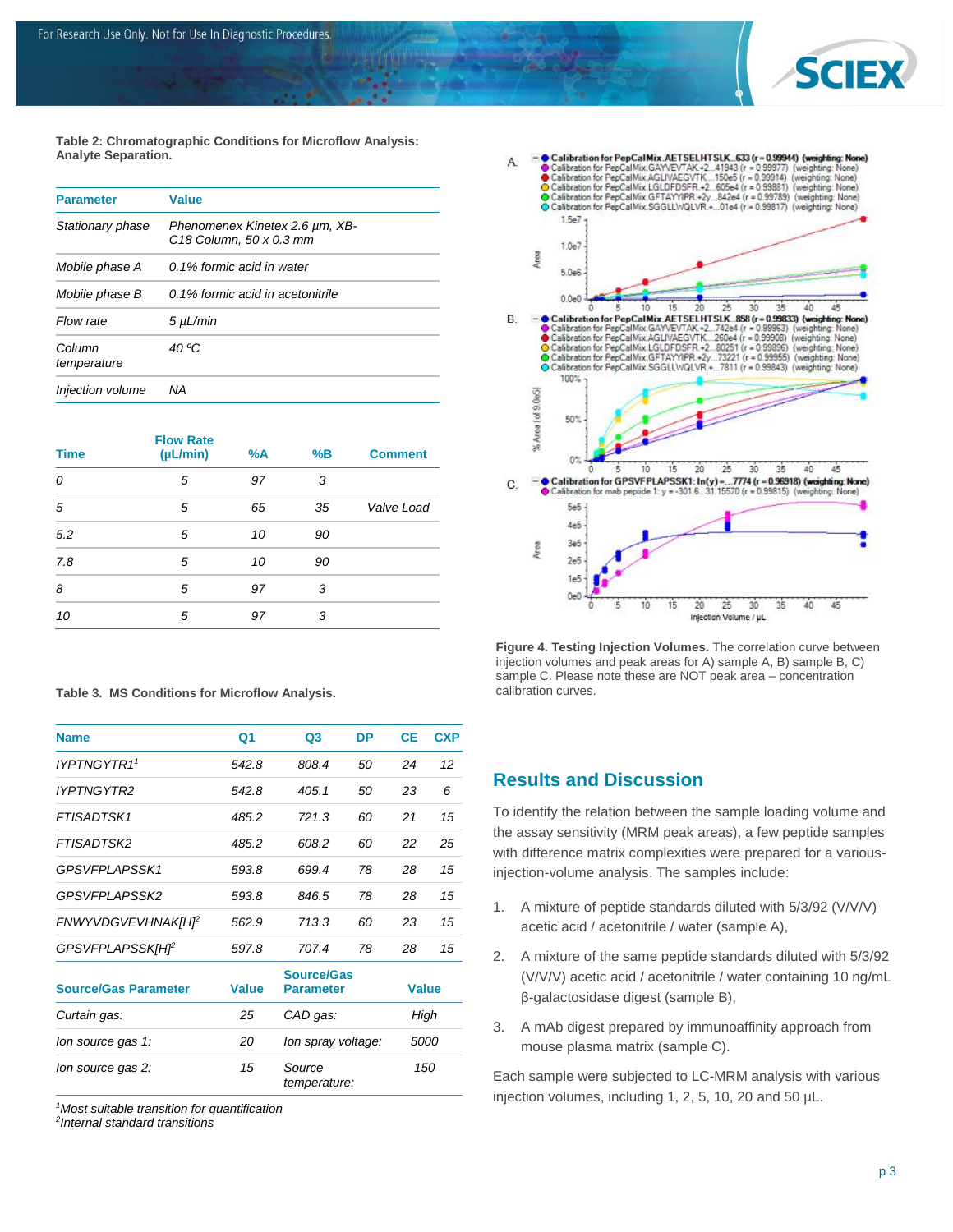

**Table 2: Chromatographic Conditions for Microflow Analysis: Analyte Separation.**

| <b>Parameter</b>        | <b>Value</b>                                              |
|-------------------------|-----------------------------------------------------------|
| Stationary phase        | Phenomenex Kinetex 2.6 µm, XB-<br>C18 Column, 50 x 0.3 mm |
| Mobile phase A          | 0.1% formic acid in water                                 |
| Mobile phase B          | 0.1% formic acid in acetonitrile                          |
| Flow rate               | 5 µL/min                                                  |
| Column<br>temperature   | 40 °C                                                     |
| <i>Injection volume</i> | ΝA                                                        |

| <b>Time</b> | <b>Flow Rate</b><br>$(\mu L/min)$ | %A | %B | <b>Comment</b> |
|-------------|-----------------------------------|----|----|----------------|
| 0           | 5                                 | 97 | 3  |                |
| 5           | 5                                 | 65 | 35 | Valve Load     |
| 5.2         | 5                                 | 10 | 90 |                |
| 7.8         | 5                                 | 10 | 90 |                |
| 8           | 5                                 | 97 | 3  |                |
| 10          | 5                                 | 97 | 3  |                |

|  |  | Table 3. MS Conditions for Microflow Analysis. |  |  |  |
|--|--|------------------------------------------------|--|--|--|
|--|--|------------------------------------------------|--|--|--|

| <b>Name</b>                 | Q <sub>1</sub> | Q <sub>3</sub>                        | DP | <b>CE</b>    | <b>CXP</b> |
|-----------------------------|----------------|---------------------------------------|----|--------------|------------|
| IYPTNGYTR1 <sup>1</sup>     | 542.8          | 808.4                                 | 50 | 24           | 12         |
| <b>IYPTNGYTR2</b>           | 542.8          | 405.1                                 | 50 | 23           | 6          |
| <b>FTISADTSK1</b>           | 485.2          | 721.3                                 | 60 | 21           | 15         |
| <b>FTISADTSK2</b>           | 485.2          | 608.2                                 | 60 | 22           | 25         |
| GPSVFPLAPSSK1               | 593.8          | 699.4                                 | 78 | 28           | 15         |
| <b>GPSVEPLAPSSK2</b>        | 593.8          | 846.5                                 | 78 | 28           | 15         |
| <b>FNWYVDGVEVHNAKIHP</b>    | 562.9          | 713.3                                 | 60 | 23           | 15         |
| <b>GPSVFPLAPSSKIHP</b>      | 597.8          | 707.4                                 | 78 | 28           | 15         |
| <b>Source/Gas Parameter</b> | <b>Value</b>   | <b>Source/Gas</b><br><b>Parameter</b> |    | <b>Value</b> |            |
| Curtain gas:                | 25             | CAD gas:                              |    | High         |            |
| lon source gas 1:           | 20             | lon spray voltage:                    |    | 5000         |            |
| lon source gas 2:           | 15             | Source<br>temperature:                |    |              | 150        |

*<sup>1</sup>Most suitable transition for quantification*

*2 Internal standard transitions*



**Figure 4. Testing Injection Volumes.** The correlation curve between injection volumes and peak areas for A) sample A, B) sample B, C) sample C. Please note these are NOT peak area – concentration calibration curves.

#### **Results and Discussion**

To identify the relation between the sample loading volume and the assay sensitivity (MRM peak areas), a few peptide samples with difference matrix complexities were prepared for a variousinjection-volume analysis. The samples include:

- 1. A mixture of peptide standards diluted with 5/3/92 (V/V/V) acetic acid / acetonitrile / water (sample A),
- 2. A mixture of the same peptide standards diluted with 5/3/92 (V/V/V) acetic acid / acetonitrile / water containing 10 ng/mL β-galactosidase digest (sample B),
- 3. A mAb digest prepared by immunoaffinity approach from mouse plasma matrix (sample C).

Each sample were subjected to LC-MRM analysis with various injection volumes, including 1, 2, 5, 10, 20 and 50 µL.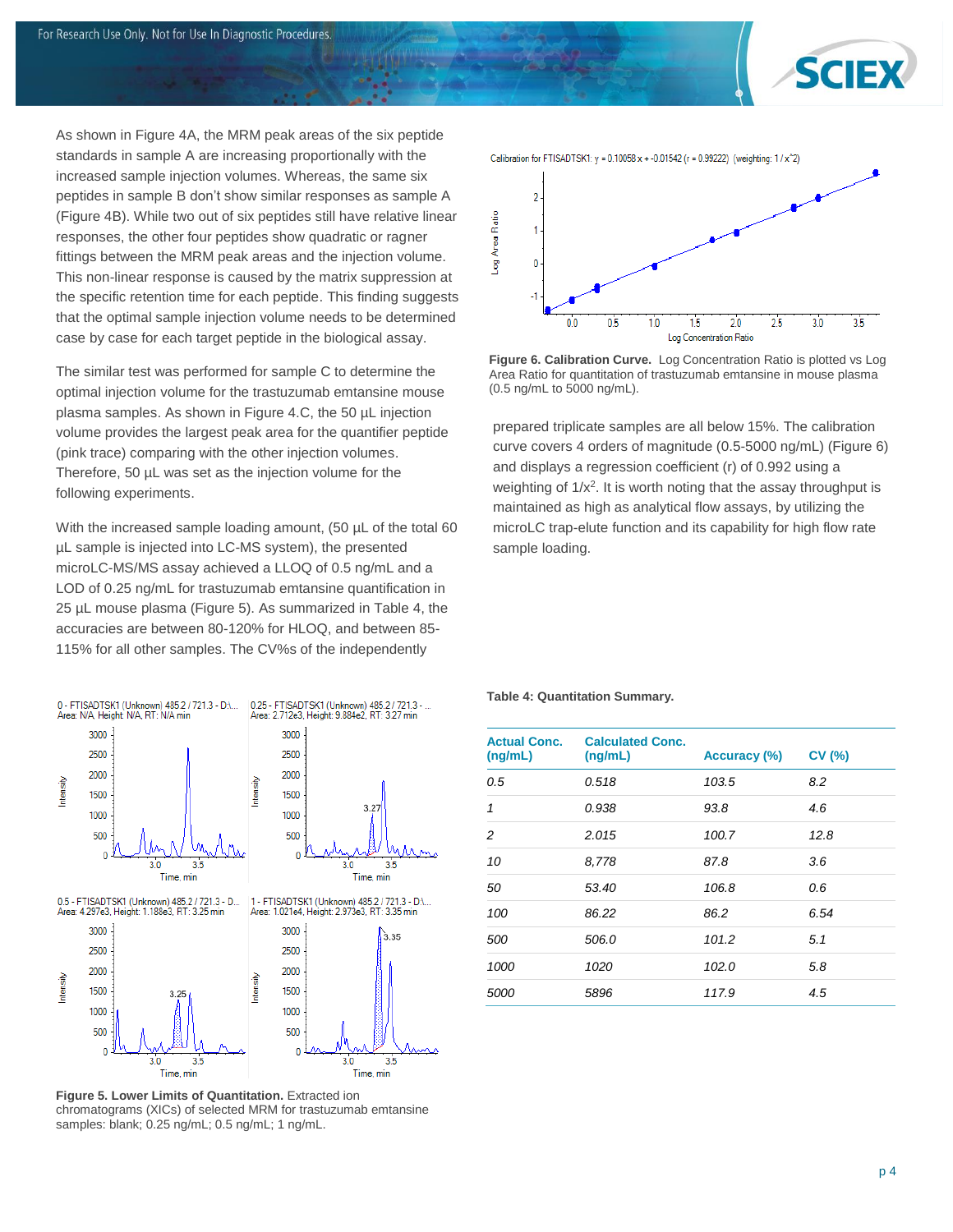

As shown in Figure 4A, the MRM peak areas of the six peptide standards in sample A are increasing proportionally with the increased sample injection volumes. Whereas, the same six peptides in sample B don't show similar responses as sample A (Figure 4B). While two out of six peptides still have relative linear responses, the other four peptides show quadratic or ragner fittings between the MRM peak areas and the injection volume. This non-linear response is caused by the matrix suppression at the specific retention time for each peptide. This finding suggests that the optimal sample injection volume needs to be determined case by case for each target peptide in the biological assay.

The similar test was performed for sample C to determine the optimal injection volume for the trastuzumab emtansine mouse plasma samples. As shown in Figure 4.C, the 50 µL injection volume provides the largest peak area for the quantifier peptide (pink trace) comparing with the other injection volumes. Therefore, 50 µL was set as the injection volume for the following experiments.

With the increased sample loading amount, (50 µL of the total 60 µL sample is injected into LC-MS system), the presented microLC-MS/MS assay achieved a LLOQ of 0.5 ng/mL and a LOD of 0.25 ng/mL for trastuzumab emtansine quantification in 25 µL mouse plasma (Figure 5). As summarized in Table 4, the accuracies are between 80-120% for HLOQ, and between 85- 115% for all other samples. The CV%s of the independently



**Figure 5. Lower Limits of Quantitation.** Extracted ion chromatograms (XICs) of selected MRM for trastuzumab emtansine samples: blank; 0.25 ng/mL; 0.5 ng/mL; 1 ng/mL.



**Figure 6. Calibration Curve.** Log Concentration Ratio is plotted vs Log Area Ratio for quantitation of trastuzumab emtansine in mouse plasma (0.5 ng/mL to 5000 ng/mL).

prepared triplicate samples are all below 15%. The calibration curve covers 4 orders of magnitude (0.5-5000 ng/mL) (Figure 6) and displays a regression coefficient (r) of 0.992 using a weighting of  $1/x^2$ . It is worth noting that the assay throughput is maintained as high as analytical flow assays, by utilizing the microLC trap-elute function and its capability for high flow rate sample loading.

#### **Table 4: Quantitation Summary.**

| <b>Actual Conc.</b><br>(ng/mL) | <b>Calculated Conc.</b><br>(ng/mL) | Accuracy (%) | CV(%) |
|--------------------------------|------------------------------------|--------------|-------|
| 0.5                            | 0.518                              | 103.5        |       |
| 1                              | 0.938                              | 93.8         | 4.6   |
| 2                              | 2.015                              | 100.7        | 12.8  |
| 10                             | 8,778                              | 87.8         | 3.6   |
| 50                             | 53.40                              | 106.8        | 0.6   |
| 100                            | 86.22                              | 86.2         | 6.54  |
| 500                            | 506.0                              | 101.2        | 5.1   |
| 1000                           | 1020                               | 102.0        | 5.8   |
| <i>5000</i>                    | 5896                               | 117.9        | 4.5   |